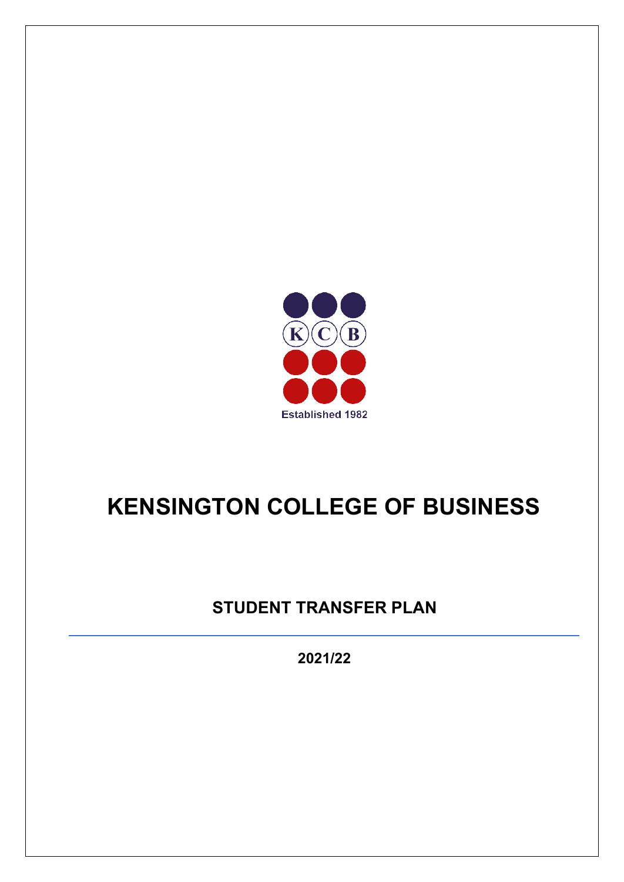

# **KENSINGTON COLLEGE OF BUSINESS**

## **STUDENT TRANSFER PLAN**

**2021/22**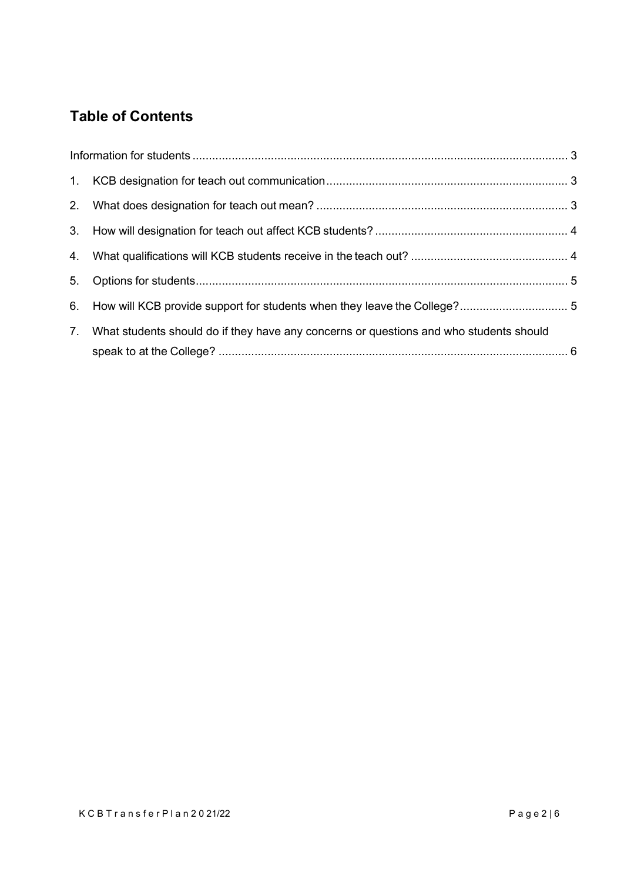### **Table of Contents**

| 7. | What students should do if they have any concerns or questions and who students should |  |
|----|----------------------------------------------------------------------------------------|--|
|    |                                                                                        |  |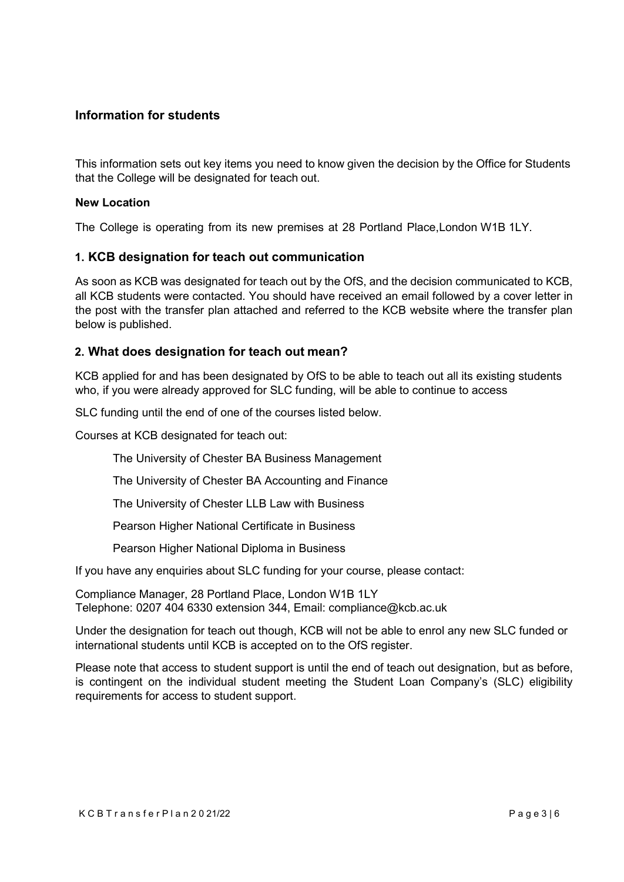#### <span id="page-2-0"></span>**Information for students**

This information sets out key items you need to know given the decision by the Office for Students that the College will be designated for teach out.

#### **New Location**

The College is operating from its new premises at 28 Portland Place,London W1B 1LY.

#### <span id="page-2-1"></span>**1. KCB designation for teach out communication**

As soon as KCB was designated for teach out by the OfS, and the decision communicated to KCB, all KCB students were contacted. You should have received an email followed by a cover letter in the post with the transfer plan attached and referred to the KCB website where the transfer plan below is published.

#### <span id="page-2-2"></span>**2. What does designation for teach out mean?**

KCB applied for and has been designated by OfS to be able to teach out all its existing students who, if you were already approved for SLC funding, will be able to continue to access

SLC funding until the end of one of the courses listed below.

Courses at KCB designated for teach out:

The University of Chester BA Business Management

The University of Chester BA Accounting and Finance

The University of Chester LLB Law with Business

Pearson Higher National Certificate in Business

Pearson Higher National Diploma in Business

If you have any enquiries about SLC funding for your course, please contact:

Compliance Manager, 28 Portland Place, London W1B 1LY Telephone: 0207 404 6330 extension 344, Email: [compliance@kcb.ac.uk](mailto:compliance@kcb.ac.uk)

Under the designation for teach out though, KCB will not be able to enrol any new SLC funded or international students until KCB is accepted on to the OfS register.

Please note that access to student support is until the end of teach out designation, but as before, is contingent on the individual student meeting the Student Loan Company's (SLC) eligibility requirements for access to student support.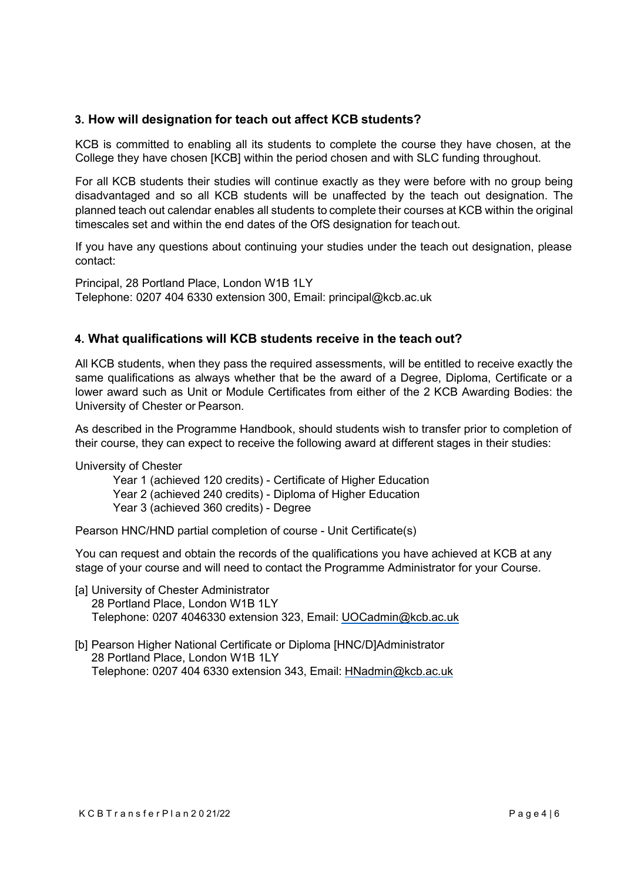#### <span id="page-3-0"></span>**3. How will designation for teach out affect KCB students?**

KCB is committed to enabling all its students to complete the course they have chosen, at the College they have chosen [KCB] within the period chosen and with SLC funding throughout.

For all KCB students their studies will continue exactly as they were before with no group being disadvantaged and so all KCB students will be unaffected by the teach out designation. The planned teach out calendar enables all students to complete their courses at KCB within the original timescales set and within the end dates of the OfS designation for teachout.

If you have any questions about continuing your studies under the teach out designation, please contact:

Principal, 28 Portland Place, London W1B 1LY Telephone: 0207 404 6330 extension 300, Email: [principal@kcb.ac.uk](mailto:principal@kcb.ac.uk)

#### <span id="page-3-1"></span>**4. What qualifications will KCB students receive in the teach out?**

All KCB students, when they pass the required assessments, will be entitled to receive exactly the same qualifications as always whether that be the award of a Degree, Diploma, Certificate or a lower award such as Unit or Module Certificates from either of the 2 KCB Awarding Bodies: the University of Chester or Pearson.

As described in the Programme Handbook, should students wish to transfer prior to completion of their course, they can expect to receive the following award at different stages in their studies:

University of Chester

Year 1 (achieved 120 credits) - Certificate of Higher Education Year 2 (achieved 240 credits) - Diploma of Higher Education Year 3 (achieved 360 credits) - Degree

Pearson HNC/HND partial completion of course - Unit Certificate(s)

You can request and obtain the records of the qualifications you have achieved at KCB at any stage of your course and will need to contact the Programme Administrator for your Course.

- [a] University of Chester Administrator 28 Portland Place, London W1B 1LY Telephone: 0207 4046330 extension 323, Email: [UOCadmin@kcb.ac.uk](mailto:UOCadmin@kcb.ac.uk)
- [b] Pearson Higher National Certificate or Diploma [HNC/D]Administrator 28 Portland Place, London W1B 1LY Telephone: 0207 404 6330 extension 343, Email: [HNadmin@kcb.ac.uk](mailto:HNadmin@kcb.ac.uk)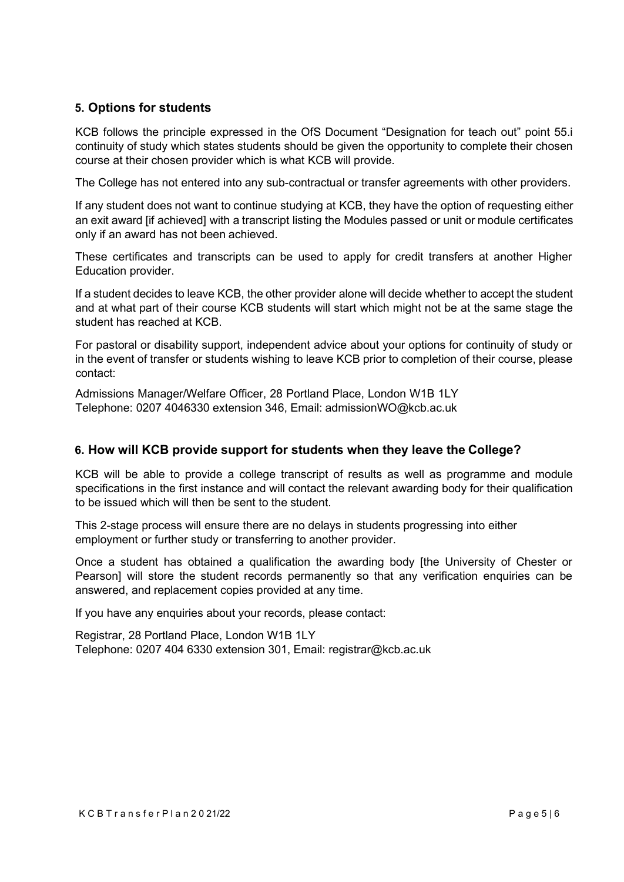#### <span id="page-4-0"></span>**5. Options for students**

KCB follows the principle expressed in the OfS Document "Designation for teach out" point 55.i continuity of study which states students should be given the opportunity to complete their chosen course at their chosen provider which is what KCB will provide.

The College has not entered into any sub-contractual or transfer agreements with other providers.

If any student does not want to continue studying at KCB, they have the option of requesting either an exit award [if achieved] with a transcript listing the Modules passed or unit or module certificates only if an award has not been achieved.

These certificates and transcripts can be used to apply for credit transfers at another Higher Education provider.

If a student decides to leave KCB, the other provider alone will decide whether to accept the student and at what part of their course KCB students will start which might not be at the same stage the student has reached at KCB.

For pastoral or disability support, independent advice about your options for continuity of study or in the event of transfer or students wishing to leave KCB prior to completion of their course, please contact:

Admissions Manager/Welfare Officer, 28 Portland Place, London W1B 1LY Telephone: 0207 4046330 extension 346, Email: [admissionWO@kcb.ac.uk](mailto:admissionWO@kcb.ac.uk)

#### <span id="page-4-1"></span>**6. How will KCB provide support for students when they leave the College?**

KCB will be able to provide a college transcript of results as well as programme and module specifications in the first instance and will contact the relevant awarding body for their qualification to be issued which will then be sent to the student.

This 2-stage process will ensure there are no delays in students progressing into either employment or further study or transferring to another provider.

Once a student has obtained a qualification the awarding body [the University of Chester or Pearson] will store the student records permanently so that any verification enquiries can be answered, and replacement copies provided at any time.

If you have any enquiries about your records, please contact:

Registrar, 28 Portland Place, London W1B 1LY Telephone: 0207 404 6330 extension 301, Email: [registrar@kcb.ac.uk](mailto:registrar@kcb.ac.uk)